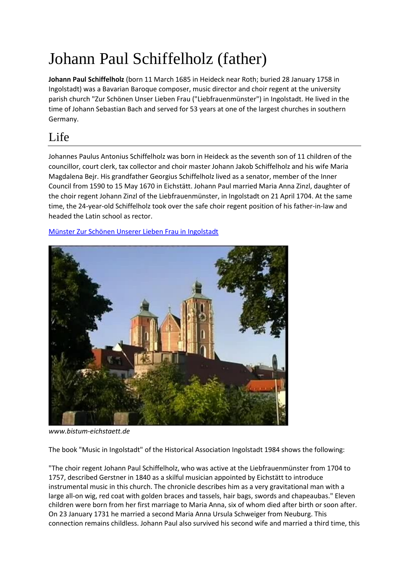# Johann Paul Schiffelholz (father)

**Johann Paul Schiffelholz** (born 11 March 1685 in Heideck near Roth; buried 28 January 1758 in Ingolstadt) was a Bavarian Baroque composer, music director and choir regent at the university parish church "Zur Schönen Unser Lieben Frau ("Liebfrauenmünster") in Ingolstadt. He lived in the time of Johann Sebastian Bach and served for 53 years at one of the largest churches in southern Germany.

## Life

Johannes Paulus Antonius Schiffelholz was born in Heideck as the seventh son of 11 children of the councillor, court clerk, tax collector and choir master Johann Jakob Schiffelholz and his wife Maria Magdalena Bejr. His grandfather Georgius Schiffelholz lived as a senator, member of the Inner Council from 1590 to 15 May 1670 in Eichstätt. Johann Paul married Maria Anna Zinzl, daughter of the choir regent Johann Zinzl of the Liebfrauenmünster, in Ingolstadt on 21 April 1704. At the same time, the 24-year-old Schiffelholz took over the safe choir regent position of his father-in-law and headed the Latin school as rector.

[Münster Zur Schönen Unserer Lieben Frau in Ingolstadt](http://www.bistum-eichstaett.de/video/videoarchiv/videoarchiv-2009/muenster-zur-schoenen-unserer-lieben-frau-in-ingolstadt/)



*www.bistum-eichstaett.de*

The book "Music in Ingolstadt" of the Historical Association Ingolstadt 1984 shows the following:

"The choir regent Johann Paul Schiffelholz, who was active at the Liebfrauenmünster from 1704 to 1757, described Gerstner in 1840 as a skilful musician appointed by Eichstätt to introduce instrumental music in this church. The chronicle describes him as a very gravitational man with a large all-on wig, red coat with golden braces and tassels, hair bags, swords and chapeaubas." Eleven children were born from her first marriage to Maria Anna, six of whom died after birth or soon after. On 23 January 1731 he married a second Maria Anna Ursula Schweiger from Neuburg. This connection remains childless. Johann Paul also survived his second wife and married a third time, this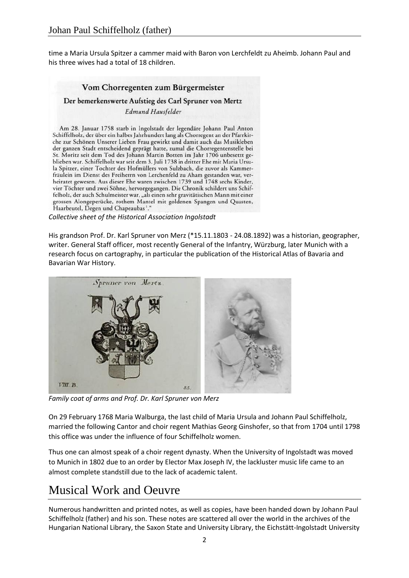time a Maria Ursula Spitzer a cammer maid with Baron von Lerchfeldt zu Aheimb. Johann Paul and his three wives had a total of 18 children.

### Vom Chorregenten zum Bürgermeister Der bemerkenswerte Aufstieg des Carl Spruner von Mertz Edmund Hausfelder Am 28. Januar 1758 starb in Ingolstadt der legendäre Johann Paul Anton Schiffelholz, der über ein halbes Jahrhundert lang als Chorregent an der Pfarrkirche zur Schönen Unserer Lieben Frau gewirkt und damit auch das Musikleben der ganzen Stadt entscheidend geprägt hatte, zumal die Chorregentenstelle bei

St. Moritz seit dem Tod des Johann Martin Botten im Jahr 1706 unbesetzt geblieben war. Schiffelholz war seit dem 3. Juli 1738 in dritter Ehe mit Maria Ursula Spitzer, einer Tochter des Hofmüllers von Sulzbach, die zuvor als Kammerfräulein im Dienst des Freiherrn von Lerchenfeld zu Aham gestanden war, verheiratet gewesen. Aus dieser Ehe waren zwischen 1739 und 1748 sechs Kinder, vier Töchter und zwei Söhne, hervorgegangen. Die Chronik schildert uns Schiffelholz, der auch Schulmeister war, "als einen sehr gravitätischen Mann mit einer grossen Alongeperücke, rothem Mantel mit goldenen Spangen und Quasten, Haarbeutel, Degen und Chapeaubas1."

*Collective sheet of the Historical Association Ingolstadt*

His grandson Prof. Dr. Karl Spruner von Merz (\*15.11.1803 - 24.08.1892) was a historian, geographer, writer. General Staff officer, most recently General of the Infantry, Würzburg, later Munich with a research focus on cartography, in particular the publication of the Historical Atlas of Bavaria and Bavarian War History.



*Family coat of arms and Prof. Dr. Karl Spruner von Merz*

On 29 February 1768 Maria Walburga, the last child of Maria Ursula and Johann Paul Schiffelholz, married the following Cantor and choir regent Mathias Georg Ginshofer, so that from 1704 until 1798 this office was under the influence of four Schiffelholz women.

Thus one can almost speak of a choir regent dynasty. When the University of Ingolstadt was moved to Munich in 1802 due to an order by Elector Max Joseph IV, the lackluster music life came to an almost complete standstill due to the lack of academic talent.

# Musical Work and Oeuvre

Numerous handwritten and printed notes, as well as copies, have been handed down by Johann Paul Schiffelholz (father) and his son. These notes are scattered all over the world in the archives of the Hungarian National Library, the Saxon State and University Library, the Eichstätt-Ingolstadt University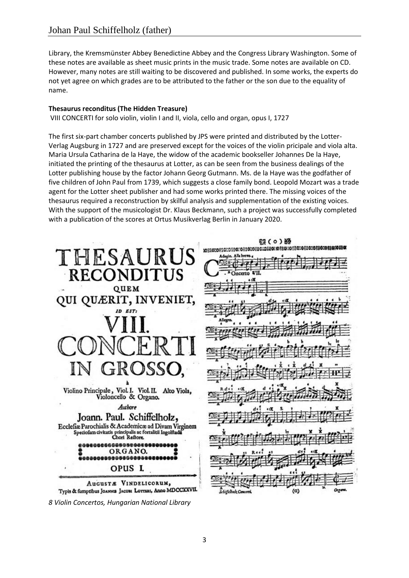Library, the Kremsmünster Abbey Benedictine Abbey and the Congress Library Washington. Some of these notes are available as sheet music prints in the music trade. Some notes are available on CD. However, many notes are still waiting to be discovered and published. In some works, the experts do not yet agree on which grades are to be attributed to the father or the son due to the equality of name.

#### **Thesaurus reconditus (The Hidden Treasure)**

VIII CONCERTI for solo violin, violin I and II, viola, cello and organ, opus I, 1727

The first six-part chamber concerts published by JPS were printed and distributed by the Lotter-Verlag Augsburg in 1727 and are preserved except for the voices of the violin pricipale and viola alta. Maria Ursula Catharina de la Haye, the widow of the academic bookseller Johannes De la Haye, initiated the printing of the thesaurus at Lotter, as can be seen from the business dealings of the Lotter publishing house by the factor Johann Georg Gutmann. Ms. de la Haye was the godfather of five children of John Paul from 1739, which suggests a close family bond. Leopold Mozart was a trade agent for the Lotter sheet publisher and had some works printed there. The missing voices of the thesaurus required a reconstruction by skilful analysis and supplementation of the existing voices. With the support of the musicologist Dr. Klaus Beckmann, such a project was successfully completed with a publication of the scores at Ortus Musikverlag Berlin in January 2020.

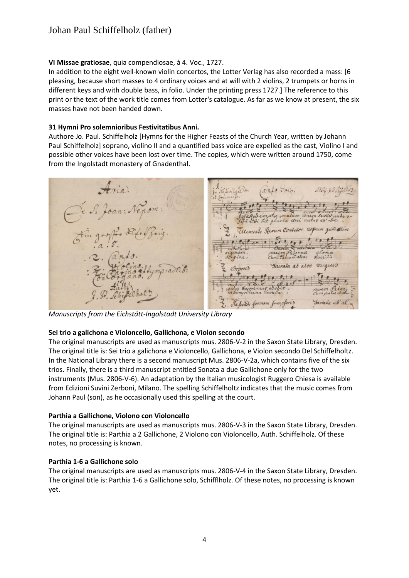#### **VI Missae gratiosae**, quia compendiosae, à 4. Voc., 1727.

In addition to the eight well-known violin concertos, the Lotter Verlag has also recorded a mass: [6 pleasing, because short masses to 4 ordinary voices and at will with 2 violins, 2 trumpets or horns in different keys and with double bass, in folio. Under the printing press 1727.] The reference to this print or the text of the work title comes from Lotter's catalogue. As far as we know at present, the six masses have not been handed down.

#### **31 Hymni Pro solemnioribus Festivitatibus Anni.**

Authore Jo. Paul. Schiffelholz [Hymns for the Higher Feasts of the Church Year, written by Johann Paul Schiffelholz] soprano, violino II and a quantified bass voice are expelled as the cast, Violino I and possible other voices have been lost over time. The copies, which were written around 1750, come from the Ingolstadt monastery of Gnadenthal.

Joan: Nep dur  $\overline{\phantom{a}}$ Facrata at aloo virgins Sacrada al al

*Manuscripts from the Eichstätt-Ingolstadt University Library*

#### **Sei trio a galichona e Violoncello, Gallichona, e Violon secondo**

The original manuscripts are used as manuscripts mus. 2806-V-2 in the Saxon State Library, Dresden. The original title is: Sei trio a galichona e Violoncello, Gallichona, e Violon secondo Del Schiffelholtz. In the National Library there is a second manuscript Mus. 2806-V-2a, which contains five of the six trios. Finally, there is a third manuscript entitled Sonata a due Gallichone only for the two instruments (Mus. 2806-V-6). An adaptation by the Italian musicologist Ruggero Chiesa is available from Edizioni Suvini Zerboni, Milano. The spelling Schiffelholtz indicates that the music comes from Johann Paul (son), as he occasionally used this spelling at the court.

#### **Parthia a Gallichone, Violono con Violoncello**

The original manuscripts are used as manuscripts mus. 2806-V-3 in the Saxon State Library, Dresden. The original title is: Parthia a 2 Gallichone, 2 Violono con Violoncello, Auth. Schiffelholz. Of these notes, no processing is known.

#### **Parthia 1-6 a Gallichone solo**

The original manuscripts are used as manuscripts mus. 2806-V-4 in the Saxon State Library, Dresden. The original title is: Parthia 1-6 a Gallichone solo, Schifflholz. Of these notes, no processing is known yet.